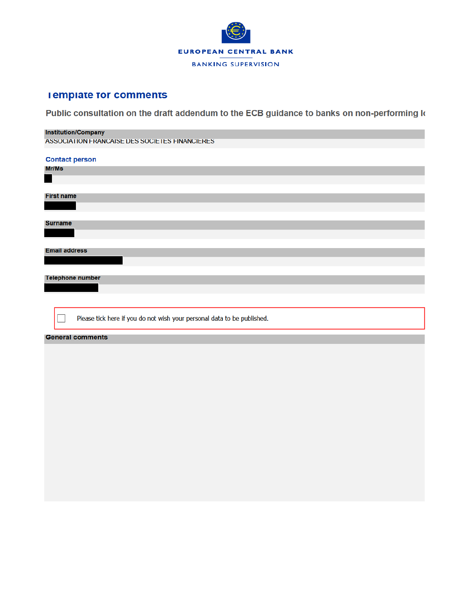

## **I emplate for comments**

Public consultation on the draft addendum to the ECB guidance to banks on non-performing k

#### **Institution/Company**

ASSOCIATION FRANCAISE DES SOCIETES FINANCIERES

| <b>Contact person</b>                                                   |  |  |  |  |  |  |  |  |
|-------------------------------------------------------------------------|--|--|--|--|--|--|--|--|
| Mr/Ms                                                                   |  |  |  |  |  |  |  |  |
|                                                                         |  |  |  |  |  |  |  |  |
|                                                                         |  |  |  |  |  |  |  |  |
| <b>First name</b>                                                       |  |  |  |  |  |  |  |  |
|                                                                         |  |  |  |  |  |  |  |  |
|                                                                         |  |  |  |  |  |  |  |  |
| <b>Surname</b>                                                          |  |  |  |  |  |  |  |  |
|                                                                         |  |  |  |  |  |  |  |  |
|                                                                         |  |  |  |  |  |  |  |  |
| <b>Email address</b>                                                    |  |  |  |  |  |  |  |  |
|                                                                         |  |  |  |  |  |  |  |  |
|                                                                         |  |  |  |  |  |  |  |  |
| <b>Telephone number</b>                                                 |  |  |  |  |  |  |  |  |
|                                                                         |  |  |  |  |  |  |  |  |
|                                                                         |  |  |  |  |  |  |  |  |
|                                                                         |  |  |  |  |  |  |  |  |
| Please tick here if you do not wish your personal data to be published. |  |  |  |  |  |  |  |  |
|                                                                         |  |  |  |  |  |  |  |  |

#### **General comments**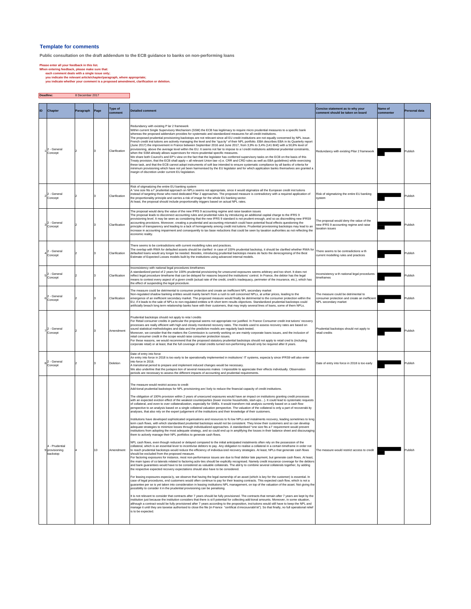#### **Template for comments**

**Public consultation on the draft addendum to the ECB guidance to banks on non-performing loans**

**Please enter all your feedback in this list. When entering feedback, please make sure that: each comment deals with a single issue only; you indicate the relevant article/chapter/paragraph, where appropriate; you indicate whether your comment is a proposed amendment, clarification or deletion.**

**Deadline:** 8 December 2017

| ID | Chapter                                      | Paragraph | Page | Type of<br>comment | <b>Detailed comment</b>                                                                                                                                                                                                                                                                                                                                                                                                                                                                                                                                                                                                                                                                                                                                                                                                                                                                                                                                                                                                                                                                                                                                                                                                                                                                                                                                                                                                                                                                                                                                                                                                                                                                                                                                                                                                                                                                                                                                                                                                                                                                                                                                                                                                                                                                                                                                                                                                                                                                                                                                                                                                                                                                                                                                                                                                                                                                                                                                                                                                                                                                                                                                                                                                                                                                                                                                                                                                                                                                                                                                                                                                                                                                                                | Concise statement as to why your<br>comment should be taken on board                                         | Name of<br>commenter | Personal data |
|----|----------------------------------------------|-----------|------|--------------------|------------------------------------------------------------------------------------------------------------------------------------------------------------------------------------------------------------------------------------------------------------------------------------------------------------------------------------------------------------------------------------------------------------------------------------------------------------------------------------------------------------------------------------------------------------------------------------------------------------------------------------------------------------------------------------------------------------------------------------------------------------------------------------------------------------------------------------------------------------------------------------------------------------------------------------------------------------------------------------------------------------------------------------------------------------------------------------------------------------------------------------------------------------------------------------------------------------------------------------------------------------------------------------------------------------------------------------------------------------------------------------------------------------------------------------------------------------------------------------------------------------------------------------------------------------------------------------------------------------------------------------------------------------------------------------------------------------------------------------------------------------------------------------------------------------------------------------------------------------------------------------------------------------------------------------------------------------------------------------------------------------------------------------------------------------------------------------------------------------------------------------------------------------------------------------------------------------------------------------------------------------------------------------------------------------------------------------------------------------------------------------------------------------------------------------------------------------------------------------------------------------------------------------------------------------------------------------------------------------------------------------------------------------------------------------------------------------------------------------------------------------------------------------------------------------------------------------------------------------------------------------------------------------------------------------------------------------------------------------------------------------------------------------------------------------------------------------------------------------------------------------------------------------------------------------------------------------------------------------------------------------------------------------------------------------------------------------------------------------------------------------------------------------------------------------------------------------------------------------------------------------------------------------------------------------------------------------------------------------------------------------------------------------------------------------------------------------------------|--------------------------------------------------------------------------------------------------------------|----------------------|---------------|
|    | 2 - General<br>Concept                       |           |      | Clarification      | Redundancy with existing P lar 2 framework<br>Within current Single Supervisory Mechanism (SSM) the ECB has legitimacy to require micro prudential measures to a specific bank<br>whereas the proposed addendum provides for systematic and standardized measures for all credit institutions<br>The proposed prudential provisioning backstops are not relevant since all EU credit institutions are not equally concerned by NPL issue.<br>French credit inst tutions are actively managing the level and the "qua ity" of their NPL portfolio. EBA describes EBA in its Quarterly report<br>(June 2017) the improvement in France between September 2016 and June 2017, from 3,9% to 3,4% (141 Bn€) with a 50,8% level of<br>provisioning, above the average level within the EU. It seems not fair to impose to a I credit institutions additional prudential constraints,<br>when the SSM already allows supervisors for micro-prudential specific measures.<br>We share both Council's and EP's view on the fact that the legislator has conferred supervisory tasks on the ECB on the basis of this<br>lreaty provision, that the ECB shall apply « all relevant Union law »(i.e. CRR and CRD rules as well as EBA guidelines) while exercising<br>these task, and that the ECB cannot adopt instruments of soft law intended to ensure systematic compliance by all banks of criteria for<br>minimum provisioning which have not yet been harmonised by the EU legislator and for which application banks themselves are granted a<br>nargin of discretion under current EU legislation.                                                                                                                                                                                                                                                                                                                                                                                                                                                                                                                                                                                                                                                                                                                                                                                                                                                                                                                                                                                                                                                                                                                                                                                                                                                                                                                                                                                                                                                                                                                                                                                                                                                                                                                                                                                                                                                                                                                                                                                                                                                                                                                       | Redundancy with existing Pilar 2 framework                                                                   |                      | Publish       |
|    | 2 - General<br>Concept                       |           |      | Clarification      | Risk of stigmatizing the entire EU banking system<br>A "one size fits a l" prudential approach on NPLs seems not appropriate, since it would stigmatize all the European credit inst tutions<br>nstead of targeting those who need dedicated Pilar 2 approaches. The proposed measure is contradictory with a required application of<br>the proportionality principle and carries a risk of image for the whole EU banking sector.<br>At least, the proposal should include proportionality triggers based on actual NPL rates.                                                                                                                                                                                                                                                                                                                                                                                                                                                                                                                                                                                                                                                                                                                                                                                                                                                                                                                                                                                                                                                                                                                                                                                                                                                                                                                                                                                                                                                                                                                                                                                                                                                                                                                                                                                                                                                                                                                                                                                                                                                                                                                                                                                                                                                                                                                                                                                                                                                                                                                                                                                                                                                                                                                                                                                                                                                                                                                                                                                                                                                                                                                                                                                       | Risk of stigmatizing the entire EU banking<br>system                                                         |                      | Publish       |
|    | 2 - General<br>Concept                       |           | з    | Clarification      | The proposal would deny the value of the new IFRS 9 accounting regime and raise taxation issues<br>The proposal leads to disconnect accounting rules and prudential rules by introducing an additional capital charge to the IFRS 9<br>provisioning level. It may be seen as considering that the new IFRS 9 standard is not prudent enough, and so as discrediting new IFRS9<br>accounting provisions. Moreover, creating a prudential and accounting mismatch could have potential fiscal effects questioning the<br>vrinciple of transparency and leading to a lack of homogeneity among credit inst tutions. Prudential provisioning backstops may lead to an<br>increase in accounting impairment and consequently to tax base reductions that could be seen by taxation authorities as not reflecting the<br>economic reality.                                                                                                                                                                                                                                                                                                                                                                                                                                                                                                                                                                                                                                                                                                                                                                                                                                                                                                                                                                                                                                                                                                                                                                                                                                                                                                                                                                                                                                                                                                                                                                                                                                                                                                                                                                                                                                                                                                                                                                                                                                                                                                                                                                                                                                                                                                                                                                                                                                                                                                                                                                                                                                                                                                                                                                                                                                                                                   | The proposal would deny the value of the<br>new IFRS 9 accounting regime and raise<br>taxation issues        |                      | Publish       |
|    | 2 - General<br>Concept                       |           | 3    | Clarification      | There seems to be contradictions with current modelling rules and practices.<br>The overlap with RWA for defaulted assets should be clarified in case of 100% prudential backstop, it should be clarified whether RWA for<br>defaulted loans would any longer be needed. Besides, introducing prudential backstops means de facto the derecognising of the Best<br>Estimate of Expected Losses models built by the institutions using advanced internal models.                                                                                                                                                                                                                                                                                                                                                                                                                                                                                                                                                                                                                                                                                                                                                                                                                                                                                                                                                                                                                                                                                                                                                                                                                                                                                                                                                                                                                                                                                                                                                                                                                                                                                                                                                                                                                                                                                                                                                                                                                                                                                                                                                                                                                                                                                                                                                                                                                                                                                                                                                                                                                                                                                                                                                                                                                                                                                                                                                                                                                                                                                                                                                                                                                                                        | There seems to be contradictions w th<br>current modelling rules and practices                               |                      | Publish       |
|    | 2 - General<br>Concept                       |           | 3    | Clarification      | Inconsistency with national legal procedures timeframes<br>A standardized period of 2 years for 100% prudential provisioning for unsecured exposures seems arbitrary and too short. It does not<br>eflect legal procedure timeframe that can be delayed for reasons beyond the institutions' control. In France, the debtor has the legal<br>neans to contest every aspect of a given credit (actual rate of the credit, credit's inadequacy, perimeter of the insurance, etc.), which has<br>the effect of suspending the legal procedure.                                                                                                                                                                                                                                                                                                                                                                                                                                                                                                                                                                                                                                                                                                                                                                                                                                                                                                                                                                                                                                                                                                                                                                                                                                                                                                                                                                                                                                                                                                                                                                                                                                                                                                                                                                                                                                                                                                                                                                                                                                                                                                                                                                                                                                                                                                                                                                                                                                                                                                                                                                                                                                                                                                                                                                                                                                                                                                                                                                                                                                                                                                                                                                            | Inconsistency w th national legal procedures<br>timeframes                                                   |                      | Publish       |
|    | 2 - General<br>Concept                       |           |      | Clarification      | The measure could be detrimental to consumer protection and create an inefficient NPL secondary market<br>Non-regulated shadow banking entities would mainly benef t from a rush to sell concerned NPLs, at unfair prices, leading to the<br>emergence of an inefficient secondary market. The proposed measure would finally be detrimental to the consumer protection within the<br>EU, if it leads to the sale of NPLs to non-regulated entities w th short term results objectives. Standardized prudential backstops could<br>artificially breach long term relationship banks have with their customers, that may imply several lines of loans, some of them NPLs.                                                                                                                                                                                                                                                                                                                                                                                                                                                                                                                                                                                                                                                                                                                                                                                                                                                                                                                                                                                                                                                                                                                                                                                                                                                                                                                                                                                                                                                                                                                                                                                                                                                                                                                                                                                                                                                                                                                                                                                                                                                                                                                                                                                                                                                                                                                                                                                                                                                                                                                                                                                                                                                                                                                                                                                                                                                                                                                                                                                                                                               | The measure could be detrimental to<br>consumer protection and create an inefficient<br>NPL secondary market |                      | Publish       |
|    | 2 - General<br>Concept                       |           | з    | Amendment          | Prudential backstops should not apply to reta I credits<br>For Retail consumer credits in particular the proposal seems not appropriate nor justified. In France Consumer credit inst tutions' recovery<br>processes are really efficient with high and closely monitored recovery rates. The models used to assess recovery rates are based on<br>sound statistical methodologies and data and the predictive models are regularly back-tested.<br>Moreover, we consider that the matters the Commission is currently working on are mainly corporate loans issues, and the inclusion of<br>retail consumer credit in the scope would raise consumer protection issues.<br>For these reasons, we would recommend that the proposed statutory prudential backstops should not apply to retail cred ts (including<br>corporate retail) or at least, that the full coverage of retail credits turned non-performing should only be required after 8 years.                                                                                                                                                                                                                                                                                                                                                                                                                                                                                                                                                                                                                                                                                                                                                                                                                                                                                                                                                                                                                                                                                                                                                                                                                                                                                                                                                                                                                                                                                                                                                                                                                                                                                                                                                                                                                                                                                                                                                                                                                                                                                                                                                                                                                                                                                                                                                                                                                                                                                                                                                                                                                                                                                                                                                               | Prudential backstops should not apply to<br>etail credits                                                    |                      | Publish       |
|    | 2 - General<br>Concept                       |           |      | Deletion           | Date of entry into force<br>An entry into force in 2018 is too early to be operationally implemented in institutions' IT systems, especialy since IFRS9 will also enter<br>into force in 2018.<br>A transitional period to prepare and implement induced changes would be necessary.<br>We also underline that the juxtapos tion of several measures makes t impossible to appreciate their effects individually. Observation<br>periods are necessary to assess the different impacts of accounting and prudential requirements.                                                                                                                                                                                                                                                                                                                                                                                                                                                                                                                                                                                                                                                                                                                                                                                                                                                                                                                                                                                                                                                                                                                                                                                                                                                                                                                                                                                                                                                                                                                                                                                                                                                                                                                                                                                                                                                                                                                                                                                                                                                                                                                                                                                                                                                                                                                                                                                                                                                                                                                                                                                                                                                                                                                                                                                                                                                                                                                                                                                                                                                                                                                                                                                      | Date of entry into force in 2018 is too early                                                                |                      | Publish       |
|    | 4 - Prudential<br>9 provisioning<br>backstop |           | 10   | Amendment          | The measure would restrict access to credit<br>Add tional prudential backstops for NPL provisioning are I kely to reduce the financial capacity of credit institutions.<br>The obligation of 100% provision within 2 years of unsecured exposures would have an impact on institutions granting credit processes<br>with an expected eviction effect of the weakest counterparties (lower income households, start-ups). It could lead to systematic requests<br>of collateral, and even to over collateralization, especially for SMEs. It would transform risk analysis currently based on a cash flow<br>perspective to an analysis based on a single collateral valuation perspective. The valuation of the collateral is only a part of recoverabi ity<br>analyses, that also rely on the expert judgement of the institutions and their knowledge of their customers.<br>Institutions have developed sophisticated organisations and resources to fo low NPLs and instalments recovery, leading sometimes to long<br>term cash flows, with which standardised prudential backstops would not be consistent. They know their customers and so can develop<br>adequate strategies to minimize losses through individualized approaches. A standardised "one size fits a l" requirement would prevent<br>institutions from adopting the most adequate strategy, and so could end up in amplifying the losses in their balance sheet and discouraging<br>them to actively manage their NPL portfolios to generate cash flows.<br>NPL cash flows, even though reduced or delayed compared to the initial anticipated instalments often rely on the possession of the<br>collateral, which is an essential lever to incentivise debtors to pay. Any obligation to realise a collateral in a certain timeframe in order not<br>to reach prudential backstops would reduce the efficiency of individua ized recovery strategies. At least, NPLs that generate cash flows<br>should be excluded from the proposed measure.<br>For factoring exposures for instance, most non-performance issues are due to final debtor late payment, but generate cash flows. At least<br>the main types of co laterals related to factoring activ ties should be explicitly recognised. Namely credit insurance coverage for the debtors<br>and bank guarantees would have to be considered as valuable collaterals. The abil ty to combine several collaterals together, by adding<br>the respective expected recovery expectations should also have to be considered.<br>For leasing exposures especialy, we observe that having the legal ownership of an asset (which is key for the customer) is essential. In<br>case of legal procedures, end customers would often continue to pay for their leasing contracts. This expected cash flow, which is not a<br>guarantee per se is yet taken into consideration in leasing institutions NPL management, on top of the valuation of the asset. Not giving the<br>possibility to consider it in the prudential provisioning can be penalising.<br>It is not relevant to consider that contracts after 7 years should be fully provisioned. The contracts that remain after 7 years are kept by the<br>institution just because the institution considers that there is st II potential for collecting add tional amounts. Moreover, in some situation,<br>although a contract would be fully provisioned after 7 years according to the proposition, inst tutions would still have to keep the NPL and<br>manage it until they are taxwise authorised to close the file (in France "certificat dirrecouvrabil té"). So that finally, no full operational relief<br>is to be expected. | The measure would restrict access to credit                                                                  |                      | Publish       |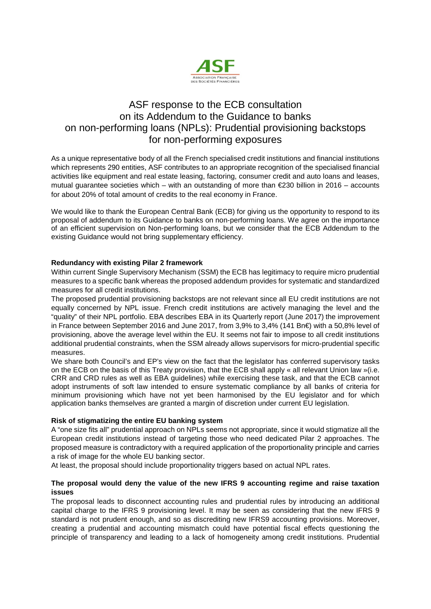

# ASF response to the ECB consultation on its Addendum to the Guidance to banks on non-performing loans (NPLs): Prudential provisioning backstops for non-performing exposures

As a unique representative body of all the French specialised credit institutions and financial institutions which represents 290 entities, ASF contributes to an appropriate recognition of the specialised financial activities like equipment and real estate leasing, factoring, consumer credit and auto loans and leases, mutual guarantee societies which – with an outstanding of more than €230 billion in 2016 – accounts for about 20% of total amount of credits to the real economy in France.

We would like to thank the European Central Bank (ECB) for giving us the opportunity to respond to its proposal of addendum to its Guidance to banks on non-performing loans. We agree on the importance of an efficient supervision on Non-performing loans, but we consider that the ECB Addendum to the existing Guidance would not bring supplementary efficiency.

## **Redundancy with existing Pilar 2 framework**

Within current Single Supervisory Mechanism (SSM) the ECB has legitimacy to require micro prudential measures to a specific bank whereas the proposed addendum provides for systematic and standardized measures for all credit institutions.

The proposed prudential provisioning backstops are not relevant since all EU credit institutions are not equally concerned by NPL issue. French credit institutions are actively managing the level and the "quality" of their NPL portfolio. EBA describes EBA in its Quarterly report (June 2017) the improvement in France between September 2016 and June 2017, from 3,9% to 3,4% (141 Bn€) with a 50,8% level of provisioning, above the average level within the EU. It seems not fair to impose to all credit institutions additional prudential constraints, when the SSM already allows supervisors for micro-prudential specific measures.

We share both Council's and EP's view on the fact that the legislator has conferred supervisory tasks on the ECB on the basis of this Treaty provision, that the ECB shall apply « all relevant Union law »(i.e. CRR and CRD rules as well as EBA guidelines) while exercising these task, and that the ECB cannot adopt instruments of soft law intended to ensure systematic compliance by all banks of criteria for minimum provisioning which have not yet been harmonised by the EU legislator and for which application banks themselves are granted a margin of discretion under current EU legislation.

## **Risk of stigmatizing the entire EU banking system**

A "one size fits all" prudential approach on NPLs seems not appropriate, since it would stigmatize all the European credit institutions instead of targeting those who need dedicated Pilar 2 approaches. The proposed measure is contradictory with a required application of the proportionality principle and carries a risk of image for the whole EU banking sector.

At least, the proposal should include proportionality triggers based on actual NPL rates.

## **The proposal would deny the value of the new IFRS 9 accounting regime and raise taxation issues**

The proposal leads to disconnect accounting rules and prudential rules by introducing an additional capital charge to the IFRS 9 provisioning level. It may be seen as considering that the new IFRS 9 standard is not prudent enough, and so as discrediting new IFRS9 accounting provisions. Moreover, creating a prudential and accounting mismatch could have potential fiscal effects questioning the principle of transparency and leading to a lack of homogeneity among credit institutions. Prudential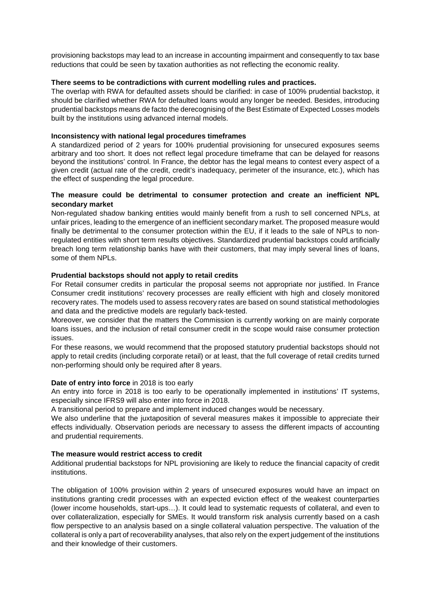provisioning backstops may lead to an increase in accounting impairment and consequently to tax base reductions that could be seen by taxation authorities as not reflecting the economic reality.

#### **There seems to be contradictions with current modelling rules and practices.**

The overlap with RWA for defaulted assets should be clarified: in case of 100% prudential backstop, it should be clarified whether RWA for defaulted loans would any longer be needed. Besides, introducing prudential backstops means de facto the derecognising of the Best Estimate of Expected Losses models built by the institutions using advanced internal models.

#### **Inconsistency with national legal procedures timeframes**

A standardized period of 2 years for 100% prudential provisioning for unsecured exposures seems arbitrary and too short. It does not reflect legal procedure timeframe that can be delayed for reasons beyond the institutions' control. In France, the debtor has the legal means to contest every aspect of a given credit (actual rate of the credit, credit's inadequacy, perimeter of the insurance, etc.), which has the effect of suspending the legal procedure.

## **The measure could be detrimental to consumer protection and create an inefficient NPL secondary market**

Non-regulated shadow banking entities would mainly benefit from a rush to sell concerned NPLs, at unfair prices, leading to the emergence of an inefficient secondary market. The proposed measure would finally be detrimental to the consumer protection within the EU, if it leads to the sale of NPLs to nonregulated entities with short term results objectives. Standardized prudential backstops could artificially breach long term relationship banks have with their customers, that may imply several lines of loans, some of them NPLs.

#### **Prudential backstops should not apply to retail credits**

For Retail consumer credits in particular the proposal seems not appropriate nor justified. In France Consumer credit institutions' recovery processes are really efficient with high and closely monitored recovery rates. The models used to assess recovery rates are based on sound statistical methodologies and data and the predictive models are regularly back-tested.

Moreover, we consider that the matters the Commission is currently working on are mainly corporate loans issues, and the inclusion of retail consumer credit in the scope would raise consumer protection issues.

For these reasons, we would recommend that the proposed statutory prudential backstops should not apply to retail credits (including corporate retail) or at least, that the full coverage of retail credits turned non-performing should only be required after 8 years.

#### **Date of entry into force** in 2018 is too early

An entry into force in 2018 is too early to be operationally implemented in institutions' IT systems, especially since IFRS9 will also enter into force in 2018.

A transitional period to prepare and implement induced changes would be necessary.

We also underline that the juxtaposition of several measures makes it impossible to appreciate their effects individually. Observation periods are necessary to assess the different impacts of accounting and prudential requirements.

#### **The measure would restrict access to credit**

Additional prudential backstops for NPL provisioning are likely to reduce the financial capacity of credit institutions.

The obligation of 100% provision within 2 years of unsecured exposures would have an impact on institutions granting credit processes with an expected eviction effect of the weakest counterparties (lower income households, start-ups…). It could lead to systematic requests of collateral, and even to over collateralization, especially for SMEs. It would transform risk analysis currently based on a cash flow perspective to an analysis based on a single collateral valuation perspective. The valuation of the collateral is only a part of recoverability analyses, that also rely on the expert judgement of the institutions and their knowledge of their customers.